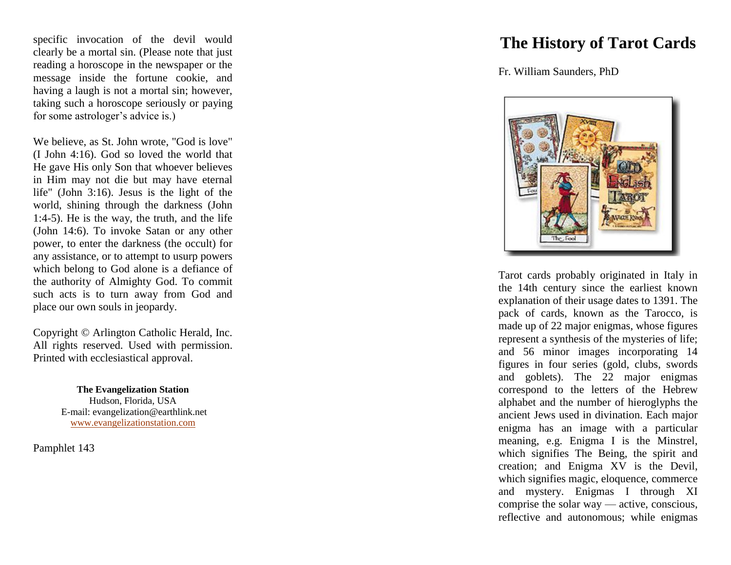specific invocation of the devil would clearly be a mortal sin. (Please note that just reading a horoscope in the newspaper or the message inside the fortune cookie, and having a laugh is not a mortal sin; however, taking such a horoscope seriously or paying for some astrologer's advice is.)

We believe, as St. John wrote, "God is love" (I John 4:16). God so loved the world that He gave His only Son that whoever believes in Him may not die but may have eternal life" (John 3:16). Jesus is the light of the world, shining through the darkness (John 1:4 -5). He is the way, the truth, and the life (John 14:6). To invoke Satan or any other power, to enter the darkness (the occult) for any assistance, or to attempt to usurp powers which belong to God alone is a defiance of the authority of Almighty God. To commit such acts is to turn away from God and place our own souls in jeopardy.

Copyright © Arlington Catholic Herald, Inc. All rights reserved. Used with permission. Printed with ecclesiastical approval.

> **The Evangelization Station** Hudson, Florida, USA E -mail: evangelization@earthlink.net [www.evangelizationstation.com](http://www.pjpiisoe.org/)

Pamphlet 1 4 3

## **The History of Tarot Cards**

Fr. William Saunders, PhD



Tarot cards probably originated in Italy in the 14th century since the earliest known explanation of their usage dates to 1391. The pack of cards, known as the Tarocco, is made up of 22 major enigmas, whose figures represent a synthesis of the mysteries of life; and 56 minor images incorporating 14 figures in four series (gold, clubs, swords and goblets). The 22 major enigmas correspond to the letters of the Hebrew alphabet and the number of hieroglyphs the ancient Jews used in divination. Each major enigma has an image with a particular meaning, e.g. Enigma I is the Minstrel, which signifies The Being, the spirit and creation; and Enigma XV is the Devil, which signifies magic, eloquence, commerce and mystery. Enigmas I through XI comprise the solar way — active, conscious, reflective and autonomous; while enigmas